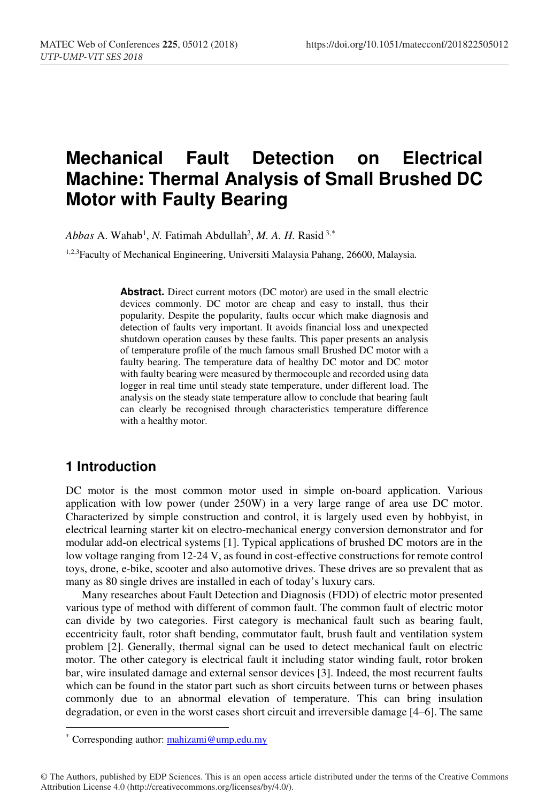# **Mechanical Fault Detection on Electrical Machine: Thermal Analysis of Small Brushed DC Motor with Faulty Bearing**

 $Abbas$  A. Wahab<sup>1</sup>, *N*. Fatimah Abdullah<sup>2</sup>, *M. A. H.* Rasid<sup>3,\*</sup>

1,2,3Faculty of Mechanical Engineering, Universiti Malaysia Pahang, 26600, Malaysia.

**Abstract.** Direct current motors (DC motor) are used in the small electric devices commonly. DC motor are cheap and easy to install, thus their popularity. Despite the popularity, faults occur which make diagnosis and detection of faults very important. It avoids financial loss and unexpected shutdown operation causes by these faults. This paper presents an analysis of temperature profile of the much famous small Brushed DC motor with a faulty bearing. The temperature data of healthy DC motor and DC motor with faulty bearing were measured by thermocouple and recorded using data logger in real time until steady state temperature, under different load. The analysis on the steady state temperature allow to conclude that bearing fault can clearly be recognised through characteristics temperature difference with a healthy motor.

### **1 Introduction**

DC motor is the most common motor used in simple on-board application. Various application with low power (under 250W) in a very large range of area use DC motor. Characterized by simple construction and control, it is largely used even by hobbyist, in electrical learning starter kit on electro-mechanical energy conversion demonstrator and for modular add-on electrical systems [1]. Typical applications of brushed DC motors are in the low voltage ranging from 12-24 V, as found in cost-effective constructions for remote control toys, drone, e-bike, scooter and also automotive drives. These drives are so prevalent that as many as 80 single drives are installed in each of today's luxury cars.

Many researches about Fault Detection and Diagnosis (FDD) of electric motor presented various type of method with different of common fault. The common fault of electric motor can divide by two categories. First category is mechanical fault such as bearing fault, eccentricity fault, rotor shaft bending, commutator fault, brush fault and ventilation system problem [2]. Generally, thermal signal can be used to detect mechanical fault on electric motor. The other category is electrical fault it including stator winding fault, rotor broken bar, wire insulated damage and external sensor devices [3]. Indeed, the most recurrent faults which can be found in the stator part such as short circuits between turns or between phases commonly due to an abnormal elevation of temperature. This can bring insulation degradation, or even in the worst cases short circuit and irreversible damage [4–6]. The same

<sup>\*</sup> Corresponding author: mahizami@ump.edu.my

<sup>©</sup> The Authors, published by EDP Sciences. This is an open access article distributed under the terms of the Creative Commons Attribution License 4.0 (http://creativecommons.org/licenses/by/4.0/).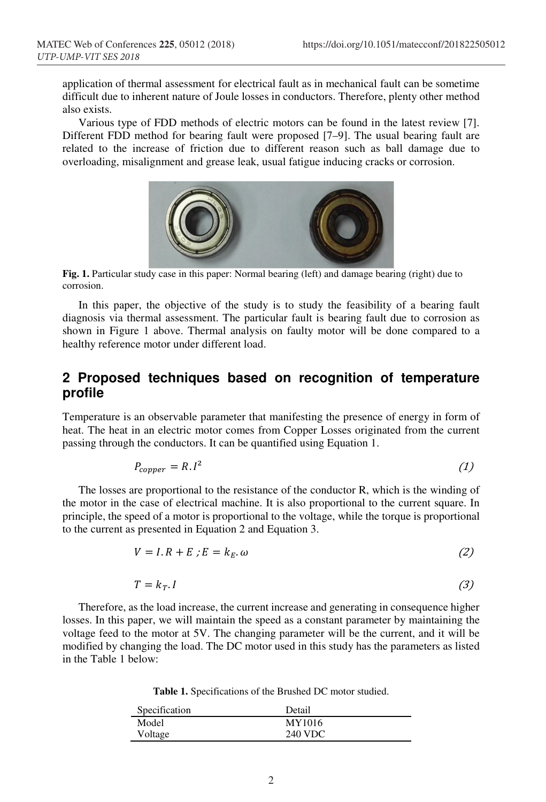application of thermal assessment for electrical fault as in mechanical fault can be sometime difficult due to inherent nature of Joule losses in conductors. Therefore, plenty other method also exists.

Various type of FDD methods of electric motors can be found in the latest review [7]. Different FDD method for bearing fault were proposed [7–9]. The usual bearing fault are related to the increase of friction due to different reason such as ball damage due to overloading, misalignment and grease leak, usual fatigue inducing cracks or corrosion.



**Fig. 1.** Particular study case in this paper: Normal bearing (left) and damage bearing (right) due to corrosion.

In this paper, the objective of the study is to study the feasibility of a bearing fault diagnosis via thermal assessment. The particular fault is bearing fault due to corrosion as shown in Figure 1 above. Thermal analysis on faulty motor will be done compared to a healthy reference motor under different load.

# **2 Proposed techniques based on recognition of temperature profile**

Temperature is an observable parameter that manifesting the presence of energy in form of heat. The heat in an electric motor comes from Copper Losses originated from the current passing through the conductors. It can be quantified using Equation 1.

$$
P_{copper} = R \cdot l^2 \tag{1}
$$

The losses are proportional to the resistance of the conductor R, which is the winding of the motor in the case of electrical machine. It is also proportional to the current square. In principle, the speed of a motor is proportional to the voltage, while the torque is proportional to the current as presented in Equation 2 and Equation 3.

$$
V = I.R + E; E = k_E. \omega \tag{2}
$$

$$
T = k_T. I \tag{3}
$$

Therefore, as the load increase, the current increase and generating in consequence higher losses. In this paper, we will maintain the speed as a constant parameter by maintaining the voltage feed to the motor at 5V. The changing parameter will be the current, and it will be modified by changing the load. The DC motor used in this study has the parameters as listed in the Table 1 below:

**Table 1.** Specifications of the Brushed DC motor studied.

| Specification | Detail  |
|---------------|---------|
| Model         | MY1016  |
| Voltage       | 240 VDC |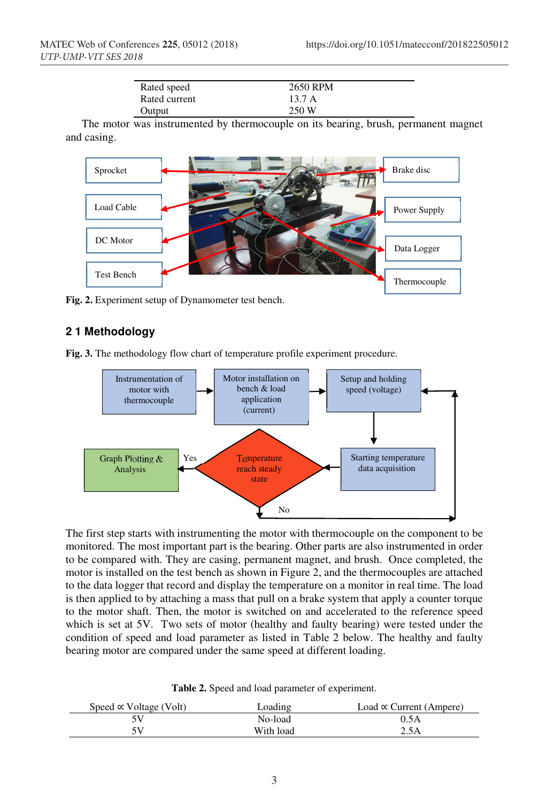| Rated speed   | 2650 RPM |
|---------------|----------|
| Rated current | 13.7A    |
| Output        | 250 W    |

The motor was instrumented by thermocouple on its bearing, brush, permanent magnet and casing.



**Fig. 2.** Experiment setup of Dynamometer test bench.

#### **2 1 Methodology**

**Fig. 3.** The methodology flow chart of temperature profile experiment procedure.



The first step starts with instrumenting the motor with thermocouple on the component to be monitored. The most important part is the bearing. Other parts are also instrumented in order to be compared with. They are casing, permanent magnet, and brush. Once completed, the motor is installed on the test bench as shown in Figure 2, and the thermocouples are attached to the data logger that record and display the temperature on a monitor in real time. The load is then applied to by attaching a mass that pull on a brake system that apply a counter torque to the motor shaft. Then, the motor is switched on and accelerated to the reference speed which is set at 5V. Two sets of motor (healthy and faulty bearing) were tested under the condition of speed and load parameter as listed in Table 2 below. The healthy and faulty bearing motor are compared under the same speed at different loading.

**Table 2.** Speed and load parameter of experiment.

| Speed $\propto$ Voltage (Volt) | Loading   | Load $\propto$ Current (Ampere) |
|--------------------------------|-----------|---------------------------------|
|                                | No-load   | 0.5A                            |
| 5V                             | With load | 2.5A                            |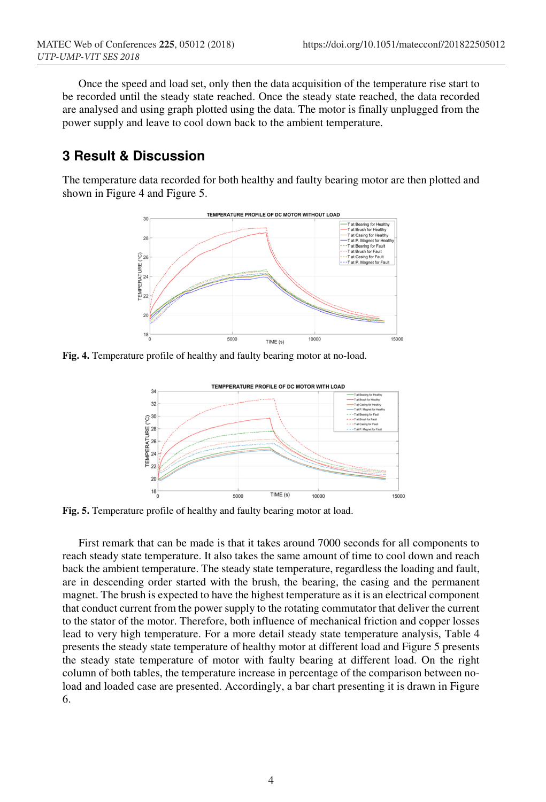Once the speed and load set, only then the data acquisition of the temperature rise start to be recorded until the steady state reached. Once the steady state reached, the data recorded are analysed and using graph plotted using the data. The motor is finally unplugged from the power supply and leave to cool down back to the ambient temperature.

## **3 Result & Discussion**

The temperature data recorded for both healthy and faulty bearing motor are then plotted and shown in Figure 4 and Figure 5.



**Fig. 4.** Temperature profile of healthy and faulty bearing motor at no-load.



Fig. 5. Temperature profile of healthy and faulty bearing motor at load.

First remark that can be made is that it takes around 7000 seconds for all components to reach steady state temperature. It also takes the same amount of time to cool down and reach back the ambient temperature. The steady state temperature, regardless the loading and fault, are in descending order started with the brush, the bearing, the casing and the permanent magnet. The brush is expected to have the highest temperature as it is an electrical component that conduct current from the power supply to the rotating commutator that deliver the current to the stator of the motor. Therefore, both influence of mechanical friction and copper losses lead to very high temperature. For a more detail steady state temperature analysis, Table 4 presents the steady state temperature of healthy motor at different load and Figure 5 presents the steady state temperature of motor with faulty bearing at different load. On the right column of both tables, the temperature increase in percentage of the comparison between noload and loaded case are presented. Accordingly, a bar chart presenting it is drawn in Figure 6.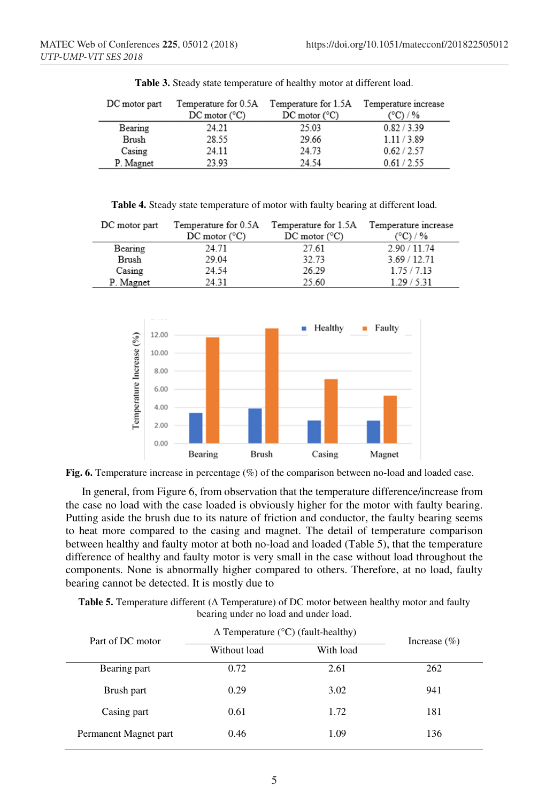| DC motor part | Temperature for 0.5A            | Temperature for 1.5A            | Temperature increase |
|---------------|---------------------------------|---------------------------------|----------------------|
|               | $DC \text{ motor } (^{\circ}C)$ | $DC \text{ motor } (^{\circ}C)$ | (°C) / %             |
| Bearing       | 24.21                           | 25.03                           | 0.82 / 3.39          |
| Brush         | 28.55                           | 29.66                           | 1.11 / 3.89          |
| Casing        | 24.11                           | 24.73                           | 0.62 / 2.57          |
| P. Magnet     | 23.93                           | 24.54                           | 0.61 / 2.55          |

**Table 3.** Steady state temperature of healthy motor at different load.

**Table 4.** Steady state temperature of motor with faulty bearing at different load.

| DC motor part | Temperature for 0.5A            | Temperature for 1.5A            | Temperature increase |
|---------------|---------------------------------|---------------------------------|----------------------|
|               | $DC \text{ motor } (^{\circ}C)$ | $DC \text{ motor } (^{\circ}C)$ | (°C) / %             |
| Bearing       | 24.71                           | 27.61                           | 2.90 / 11.74         |
| Brush         | 29.04                           | 32.73                           | 3.69 / 12.71         |
| Casing        | 24.54                           | 26.29                           | 1.75/7.13            |
| P. Magnet     | 24 31                           | 25.60                           | 1.29/5.31            |



**Fig. 6.** Temperature increase in percentage (%) of the comparison between no-load and loaded case.

In general, from Figure 6, from observation that the temperature difference/increase from the case no load with the case loaded is obviously higher for the motor with faulty bearing. Putting aside the brush due to its nature of friction and conductor, the faulty bearing seems to heat more compared to the casing and magnet. The detail of temperature comparison between healthy and faulty motor at both no-load and loaded (Table 5), that the temperature difference of healthy and faulty motor is very small in the case without load throughout the components. None is abnormally higher compared to others. Therefore, at no load, faulty bearing cannot be detected. It is mostly due to

| <b>Table 5.</b> Temperature different $(\Delta$ Temperature) of DC motor between healthy motor and faulty |
|-----------------------------------------------------------------------------------------------------------|
| bearing under no load and under load.                                                                     |

| Part of DC motor      | $\Delta$ Temperature (°C) (fault-healthy) | Increase $(\% )$ |     |
|-----------------------|-------------------------------------------|------------------|-----|
|                       | Without load                              | With load        |     |
| Bearing part          | 0.72                                      | 2.61             | 262 |
| Brush part            | 0.29                                      | 3.02             | 941 |
| Casing part           | 0.61                                      | 1.72             | 181 |
| Permanent Magnet part | 0.46                                      | 1.09             | 136 |